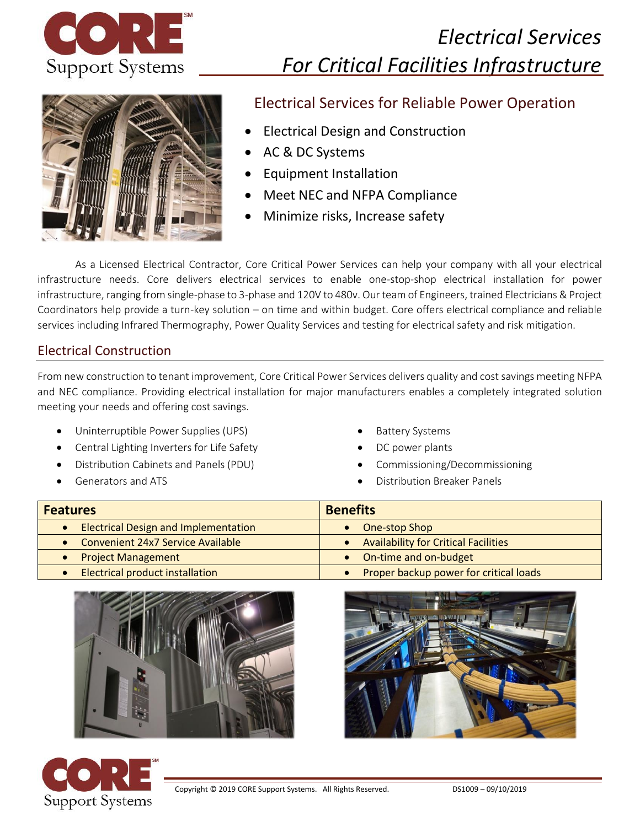

# *Electrical Services For Critical Facilities Infrastructure*



# Electrical Services for Reliable Power Operation

- Electrical Design and Construction
- AC & DC Systems
- Equipment Installation
- Meet NEC and NFPA Compliance
- Minimize risks, Increase safety

As a Licensed Electrical Contractor, Core Critical Power Services can help your company with all your electrical infrastructure needs. Core delivers electrical services to enable one-stop-shop electrical installation for power infrastructure, ranging from single-phase to 3-phase and 120V to 480v. Our team of Engineers, trained Electricians & Project Coordinators help provide a turn-key solution – on time and within budget. Core offers electrical compliance and reliable services including Infrared Thermography, Power Quality Services and testing for electrical safety and risk mitigation.

#### Electrical Construction

From new construction to tenant improvement, Core Critical Power Services delivers quality and cost savings meeting NFPA and NEC compliance. Providing electrical installation for major manufacturers enables a completely integrated solution meeting your needs and offering cost savings.

- Uninterruptible Power Supplies (UPS)
- Central Lighting Inverters for Life Safety
- Distribution Cabinets and Panels (PDU)
- Generators and ATS
- **Battery Systems**
- DC power plants
- Commissioning/Decommissioning
- Distribution Breaker Panels

| <b>Features</b>                             | <b>Benefits</b>                             |
|---------------------------------------------|---------------------------------------------|
| <b>Electrical Design and Implementation</b> | One-stop Shop                               |
| • Convenient 24x7 Service Available         | <b>Availability for Critical Facilities</b> |
| • Project Management                        | • On-time and on-budget                     |
| • Electrical product installation           | Proper backup power for critical loads      |